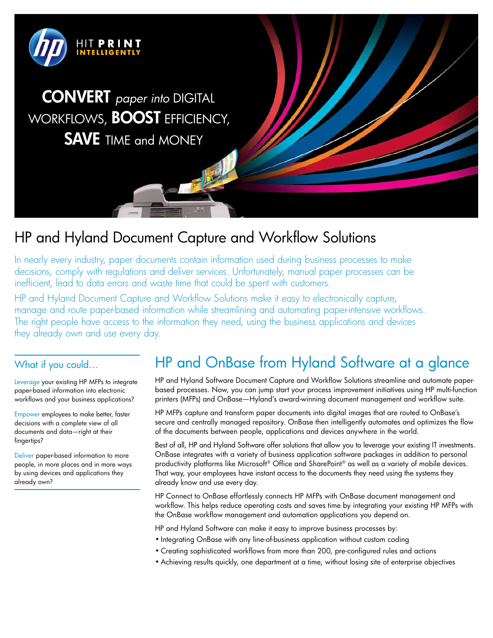

## HP and Hyland Document Capture and Workflow Solutions

In nearly every industry, paper documents contain information used during business processes to make decisions, comply with regulations and deliver services. Unfortunately, manual paper processes can be inefficient, lead to data errors and waste time that could be spent with customers.

HP and Hyland Document Capture and Workflow Solutions make it easy to electronically capture, manage and route paper-based information while streamlining and automating paper-intensive workflows. The right people have access to the information they need, using the business applications and devices they already own and use every day.

## What if you could…

Leverage your existing HP MFPs to integrate paper-based information into electronic workflows and your business applications?

Empower employees to make better, faster decisions with a complete view of all documents and data—right at their fingertips?

Deliver paper-based information to more people, in more places and in more ways by using devices and applications they already own?

## HP and OnBase from Hyland Software at a glance

HP and Hyland Software Document Capture and Workflow Solutions streamline and automate paperbased processes. Now, you can jump start your process improvement initiatives using HP multi-function printers (MFPs) and OnBase—Hyland's award-winning document management and workflow suite.

HP MFPs capture and transform paper documents into digital images that are routed to OnBase's secure and centrally managed repository. OnBase then intelligently automates and optimizes the flow of the documents between people, applications and devices anywhere in the world.

Best of all, HP and Hyland Software offer solutions that allow you to leverage your existing IT investments. OnBase integrates with a variety of business application software packages in addition to personal productivity platforms like Microsoft® Office and SharePoint® as well as a variety of mobile devices. That way, your employees have instant access to the documents they need using the systems they already know and use every day.

HP Connect to OnBase effortlessly connects HP MFPs with OnBase document management and workflow. This helps reduce operating costs and saves time by integrating your existing HP MFPs with the OnBase workflow management and automation applications you depend on.

HP and Hyland Software can make it easy to improve business processes by:

- Integrating OnBase with any line-of-business application without custom coding
- Creating sophisticated workflows from more than 200, pre-configured rules and actions
- Achieving results quickly, one department at a time, without losing site of enterprise objectives